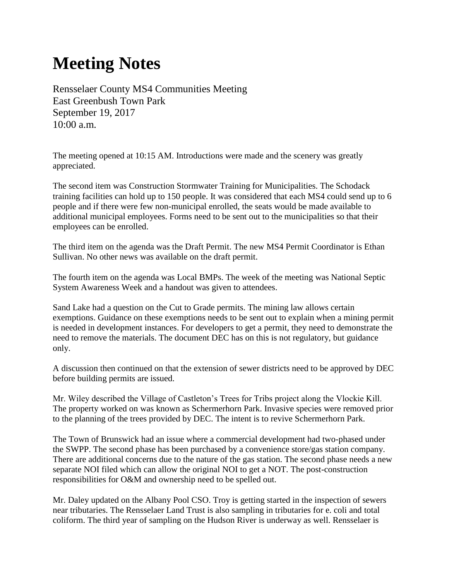## **Meeting Notes**

Rensselaer County MS4 Communities Meeting East Greenbush Town Park September 19, 2017 10:00 a.m.

The meeting opened at 10:15 AM. Introductions were made and the scenery was greatly appreciated.

The second item was Construction Stormwater Training for Municipalities. The Schodack training facilities can hold up to 150 people. It was considered that each MS4 could send up to 6 people and if there were few non-municipal enrolled, the seats would be made available to additional municipal employees. Forms need to be sent out to the municipalities so that their employees can be enrolled.

The third item on the agenda was the Draft Permit. The new MS4 Permit Coordinator is Ethan Sullivan. No other news was available on the draft permit.

The fourth item on the agenda was Local BMPs. The week of the meeting was National Septic System Awareness Week and a handout was given to attendees.

Sand Lake had a question on the Cut to Grade permits. The mining law allows certain exemptions. Guidance on these exemptions needs to be sent out to explain when a mining permit is needed in development instances. For developers to get a permit, they need to demonstrate the need to remove the materials. The document DEC has on this is not regulatory, but guidance only.

A discussion then continued on that the extension of sewer districts need to be approved by DEC before building permits are issued.

Mr. Wiley described the Village of Castleton's Trees for Tribs project along the Vlockie Kill. The property worked on was known as Schermerhorn Park. Invasive species were removed prior to the planning of the trees provided by DEC. The intent is to revive Schermerhorn Park.

The Town of Brunswick had an issue where a commercial development had two-phased under the SWPP. The second phase has been purchased by a convenience store/gas station company. There are additional concerns due to the nature of the gas station. The second phase needs a new separate NOI filed which can allow the original NOI to get a NOT. The post-construction responsibilities for O&M and ownership need to be spelled out.

Mr. Daley updated on the Albany Pool CSO. Troy is getting started in the inspection of sewers near tributaries. The Rensselaer Land Trust is also sampling in tributaries for e. coli and total coliform. The third year of sampling on the Hudson River is underway as well. Rensselaer is